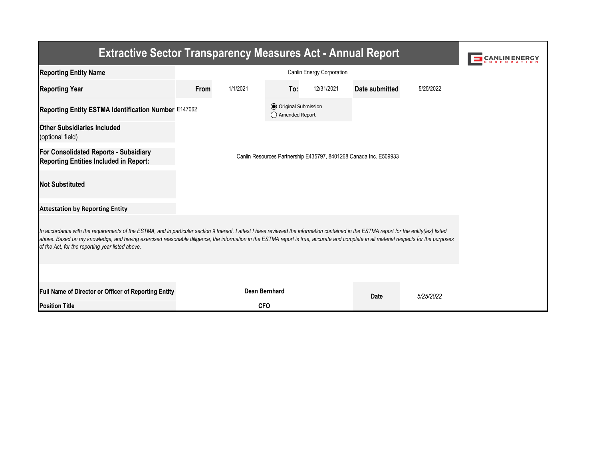| <b>Extractive Sector Transparency Measures Act - Annual Report</b>                                                                                                                                                                                                                                                                                                                                                                    |      |                      |                                                  |            |                       |           |  |  |  |  |
|---------------------------------------------------------------------------------------------------------------------------------------------------------------------------------------------------------------------------------------------------------------------------------------------------------------------------------------------------------------------------------------------------------------------------------------|------|----------------------|--------------------------------------------------|------------|-----------------------|-----------|--|--|--|--|
| <b>Reporting Entity Name</b>                                                                                                                                                                                                                                                                                                                                                                                                          |      |                      |                                                  |            |                       |           |  |  |  |  |
| <b>Reporting Year</b>                                                                                                                                                                                                                                                                                                                                                                                                                 | From | 1/1/2021             | To:                                              | 12/31/2021 | <b>Date submitted</b> | 5/25/2022 |  |  |  |  |
| Reporting Entity ESTMA Identification Number E147062                                                                                                                                                                                                                                                                                                                                                                                  |      |                      | <b>◎</b> Original Submission<br>◯ Amended Report |            |                       |           |  |  |  |  |
| <b>Other Subsidiaries Included</b><br>(optional field)                                                                                                                                                                                                                                                                                                                                                                                |      |                      |                                                  |            |                       |           |  |  |  |  |
| <b>For Consolidated Reports - Subsidiary</b><br>Canlin Resources Partnership E435797, 8401268 Canada Inc. E509933<br><b>Reporting Entities Included in Report:</b>                                                                                                                                                                                                                                                                    |      |                      |                                                  |            |                       |           |  |  |  |  |
| <b>Not Substituted</b>                                                                                                                                                                                                                                                                                                                                                                                                                |      |                      |                                                  |            |                       |           |  |  |  |  |
| <b>Attestation by Reporting Entity</b>                                                                                                                                                                                                                                                                                                                                                                                                |      |                      |                                                  |            |                       |           |  |  |  |  |
| In accordance with the requirements of the ESTMA, and in particular section 9 thereof, I attest I have reviewed the information contained in the ESTMA report for the entity(ies) listed<br>above. Based on my knowledge, and having exercised reasonable diligence, the information in the ESTMA report is true, accurate and complete in all material respects for the purposes<br>of the Act, for the reporting year listed above. |      |                      |                                                  |            |                       |           |  |  |  |  |
|                                                                                                                                                                                                                                                                                                                                                                                                                                       |      |                      |                                                  |            |                       |           |  |  |  |  |
| Full Name of Director or Officer of Reporting Entity                                                                                                                                                                                                                                                                                                                                                                                  |      | <b>Dean Bernhard</b> |                                                  |            | <b>Date</b>           | 5/25/2022 |  |  |  |  |
| <b>Position Title</b>                                                                                                                                                                                                                                                                                                                                                                                                                 |      | <b>CFO</b>           |                                                  |            |                       |           |  |  |  |  |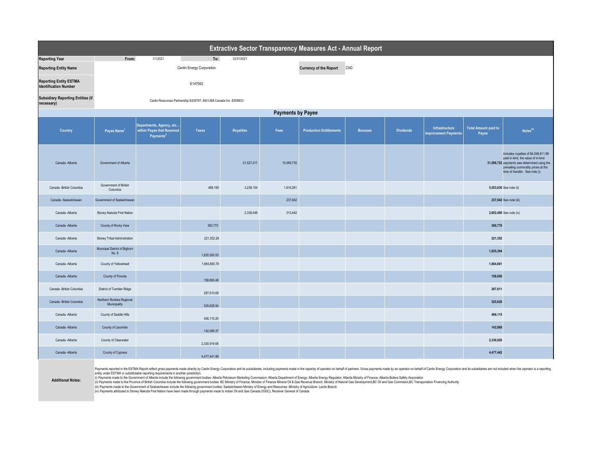| <b>Extractive Sector Transparency Measures Act - Annual Report</b> |                                           |                                                                                                                                                                                                                                                                                                                       |                                                                   |                  |            |                                |                |                  |                                                      |                                                                                                                                                                                                                                |  |
|--------------------------------------------------------------------|-------------------------------------------|-----------------------------------------------------------------------------------------------------------------------------------------------------------------------------------------------------------------------------------------------------------------------------------------------------------------------|-------------------------------------------------------------------|------------------|------------|--------------------------------|----------------|------------------|------------------------------------------------------|--------------------------------------------------------------------------------------------------------------------------------------------------------------------------------------------------------------------------------|--|
| <b>Reporting Year</b>                                              | From:                                     | 1/1/2021                                                                                                                                                                                                                                                                                                              | To:                                                               | 12/31/2021       |            |                                |                |                  |                                                      |                                                                                                                                                                                                                                |  |
| <b>Reporting Entity Name</b>                                       |                                           |                                                                                                                                                                                                                                                                                                                       | <b>Canlin Energy Corporation</b>                                  |                  |            | <b>Currency of the Report</b>  | CAD            |                  |                                                      |                                                                                                                                                                                                                                |  |
| <b>Reporting Entity ESTMA</b><br><b>Identification Number</b>      |                                           |                                                                                                                                                                                                                                                                                                                       | E147062                                                           |                  |            |                                |                |                  |                                                      |                                                                                                                                                                                                                                |  |
| <b>Subsidiary Reporting Entities (if</b><br>necessary)             |                                           |                                                                                                                                                                                                                                                                                                                       | Canlin Resources Partnership E435797, 8401268 Canada Inc. E509933 |                  |            |                                |                |                  |                                                      |                                                                                                                                                                                                                                |  |
| <b>Payments by Payee</b>                                           |                                           |                                                                                                                                                                                                                                                                                                                       |                                                                   |                  |            |                                |                |                  |                                                      |                                                                                                                                                                                                                                |  |
| <b>Country</b>                                                     | Payee Name <sup>1</sup>                   | Departments, Agency, etc<br>within Payee that Received<br>Payments <sup>2</sup>                                                                                                                                                                                                                                       | <b>Taxes</b>                                                      | <b>Royalties</b> | Fees       | <b>Production Entitlements</b> | <b>Bonuses</b> | <b>Dividends</b> | <b>Infrastructure</b><br><b>Improvement Payments</b> | <b>Total Amount paid to</b><br>Notes <sup>34</sup><br>Payee                                                                                                                                                                    |  |
| Canada - Alberta                                                   | Government of Alberta                     |                                                                                                                                                                                                                                                                                                                       |                                                                   | 21,527,017       | 10,069,735 |                                |                |                  |                                                      | Includes royalties of \$4,548,811.98<br>paid in-kind, the value of in-kind<br>31,596,752 payments was determined using the<br>prevailing commodity prices at the<br>time of transfer. See note (i)                             |  |
| Canada - British Columbia                                          | Government of British<br>Columbia         |                                                                                                                                                                                                                                                                                                                       | 498,195                                                           | 3,239,154        | 1,816,281  |                                |                |                  |                                                      | 5,553,630 See note (ii)                                                                                                                                                                                                        |  |
| Canada -Saskatchewan                                               | Government of Saskatchewan                |                                                                                                                                                                                                                                                                                                                       |                                                                   |                  | 237,942    |                                |                |                  |                                                      | 237,942 See note (iii)                                                                                                                                                                                                         |  |
| Canada - Alberta                                                   | Stoney Nakoda First Nation                |                                                                                                                                                                                                                                                                                                                       |                                                                   | 2,339,048        | 313,442    |                                |                |                  |                                                      | 2,652,490 See note (iv)                                                                                                                                                                                                        |  |
| Canada - Alberta                                                   | County of Rocky View                      |                                                                                                                                                                                                                                                                                                                       | 390,770                                                           |                  |            |                                |                |                  |                                                      | 390,770                                                                                                                                                                                                                        |  |
| Canada - Alberta                                                   | <b>Stoney Tribal Adminstration</b>        |                                                                                                                                                                                                                                                                                                                       | 221,352.29                                                        |                  |            |                                |                |                  |                                                      | 221,352                                                                                                                                                                                                                        |  |
| Canada - Alberta                                                   | Municipal District of Bighorn<br>No. 8    |                                                                                                                                                                                                                                                                                                                       | 1,625,393.53                                                      |                  |            |                                |                |                  |                                                      | 1,625,394                                                                                                                                                                                                                      |  |
| Canada - Alberta                                                   | County of Yellowhead                      |                                                                                                                                                                                                                                                                                                                       | 1,684,660.78                                                      |                  |            |                                |                |                  |                                                      | 1,684,661                                                                                                                                                                                                                      |  |
| Canada - Alberta                                                   | County of Ponoka                          |                                                                                                                                                                                                                                                                                                                       | 158,650.48                                                        |                  |            |                                |                |                  |                                                      | 158,650                                                                                                                                                                                                                        |  |
| Canada - British Columbia                                          | District of Tumbler Ridge                 |                                                                                                                                                                                                                                                                                                                       | 287,610.69                                                        |                  |            |                                |                |                  |                                                      | 287,611                                                                                                                                                                                                                        |  |
| Canada - British Columbia                                          | Northern Rockies Regional<br>Municipality |                                                                                                                                                                                                                                                                                                                       | 325,628.54                                                        |                  |            |                                |                |                  |                                                      | 325,629                                                                                                                                                                                                                        |  |
| Canada - Alberta                                                   | County of Saddle Hills                    |                                                                                                                                                                                                                                                                                                                       | 406,115.20                                                        |                  |            |                                |                |                  |                                                      | 406,115                                                                                                                                                                                                                        |  |
| Canada - Alberta                                                   | County of Lacombe                         |                                                                                                                                                                                                                                                                                                                       | 142,069.37                                                        |                  |            |                                |                |                  |                                                      | 142,069                                                                                                                                                                                                                        |  |
| Canada - Alberta                                                   | County of Clearwater                      |                                                                                                                                                                                                                                                                                                                       | 2,330,919.68                                                      |                  |            |                                |                |                  |                                                      | 2,330,920                                                                                                                                                                                                                      |  |
| Canada - Alberta                                                   | County of Cypress                         |                                                                                                                                                                                                                                                                                                                       | 4,477,441.99                                                      |                  |            |                                |                |                  |                                                      | 4,477,442                                                                                                                                                                                                                      |  |
| Additional Motor                                                   |                                           | entity under ESTMA or substitutable reporting requirements in another jurisdiction.<br>(i) Payments made to the Government of Alberta include the following government bodies: Alberta Petroleum Marketing Commission; Alberta Department of Energy; Alberta Energy Regulator; Alberta Ministry of Finance; Alberta B |                                                                   |                  |            |                                |                |                  |                                                      | Payments reported in the ESTMA Report reflect gross payments made directly by Canlin Energy Corporation and its subsidiaries, including payments made in the capacity of operator on behalf of partners. Gross payments made b |  |

(ii) Payments made to the Province of British Columbia include the following government bodies: BC Ministry of Finance; Minister of Finance Mineral Oil & Gas Revenue Branch, Ministry of Natural Gas Development, BC Oil and (iii) Payments made to the Government of Saskatchewan include the following government bodies: Saskatchewan Ministry of Energy and Resources ;Ministry of Agriculture- Lands Branch (iv) Payments attributed to Stoney Nakoda First Nation have been made through payments made to Indian Oil and Gas Canada (IOGC), Receiver General of Canada

**Additional Notes:**